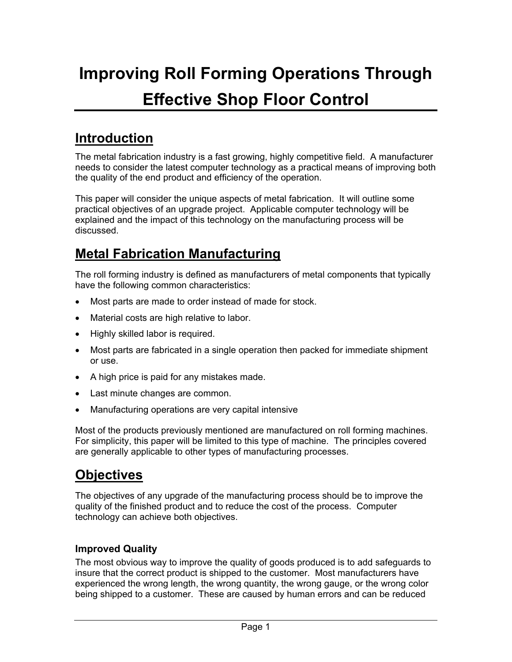# **Improving Roll Forming Operations Through Effective Shop Floor Control**

# **Introduction**

The metal fabrication industry is a fast growing, highly competitive field. A manufacturer needs to consider the latest computer technology as a practical means of improving both the quality of the end product and efficiency of the operation.

This paper will consider the unique aspects of metal fabrication. It will outline some practical objectives of an upgrade project. Applicable computer technology will be explained and the impact of this technology on the manufacturing process will be discussed.

## **Metal Fabrication Manufacturing**

The roll forming industry is defined as manufacturers of metal components that typically have the following common characteristics:

- Most parts are made to order instead of made for stock.
- Material costs are high relative to labor.
- Highly skilled labor is required.
- Most parts are fabricated in a single operation then packed for immediate shipment or use.
- A high price is paid for any mistakes made.
- Last minute changes are common.
- Manufacturing operations are very capital intensive

Most of the products previously mentioned are manufactured on roll forming machines. For simplicity, this paper will be limited to this type of machine. The principles covered are generally applicable to other types of manufacturing processes.

# **Objectives**

The objectives of any upgrade of the manufacturing process should be to improve the quality of the finished product and to reduce the cost of the process. Computer technology can achieve both objectives.

#### **Improved Quality**

The most obvious way to improve the quality of goods produced is to add safeguards to insure that the correct product is shipped to the customer. Most manufacturers have experienced the wrong length, the wrong quantity, the wrong gauge, or the wrong color being shipped to a customer. These are caused by human errors and can be reduced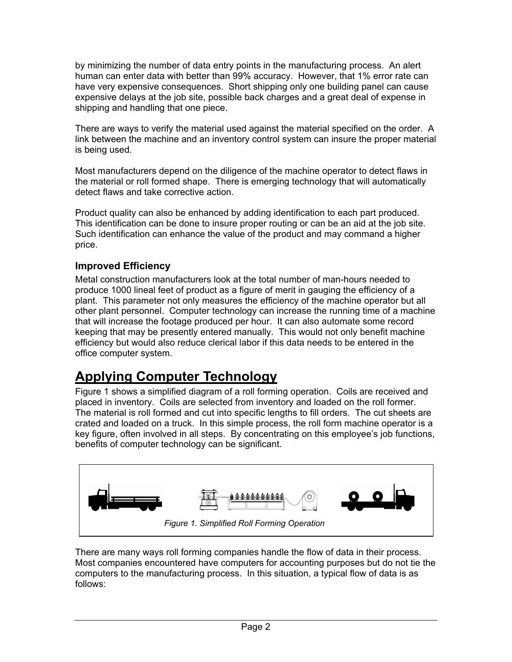by minimizing the number of data entry points in the manufacturing process. An alert human can enter data with better than 99% accuracy. However, that 1% error rate can have very expensive consequences. Short shipping only one building panel can cause expensive delays at the job site, possible back charges and a great deal of expense in shipping and handling that one piece.

There are ways to verify the material used against the material specified on the order. A link between the machine and an inventory control system can insure the proper material is being used.

Most manufacturers depend on the diligence of the machine operator to detect flaws in the material or roll formed shape. There is emerging technology that will automatically detect flaws and take corrective action.

Product quality can also be enhanced by adding identification to each part produced. This identification can be done to insure proper routing or can be an aid at the job site. Such identification can enhance the value of the product and may command a higher price.

#### **Improved Efficiency**

Metal construction manufacturers look at the total number of man-hours needed to produce 1000 lineal feet of product as a figure of merit in gauging the efficiency of a plant. This parameter not only measures the efficiency of the machine operator but all other plant personnel. Computer technology can increase the running time of a machine that will increase the footage produced per hour. It can also automate some record keeping that may be presently entered manually. This would not only benefit machine efficiency but would also reduce clerical labor if this data needs to be entered in the office computer system.

### **Applying Computer Technology**

Figure 1 shows a simplified diagram of a roll forming operation. Coils are received and placed in inventory. Coils are selected from inventory and loaded on the roll former. The material is roll formed and cut into specific lengths to fill orders. The cut sheets are crated and loaded on a truck. In this simple process, the roll form machine operator is a key figure, often involved in all steps. By concentrating on this employee's job functions, benefits of computer technology can be significant.



There are many ways roll forming companies handle the flow of data in their process. Most companies encountered have computers for accounting purposes but do not tie the computers to the manufacturing process. In this situation, a typical flow of data is as follows: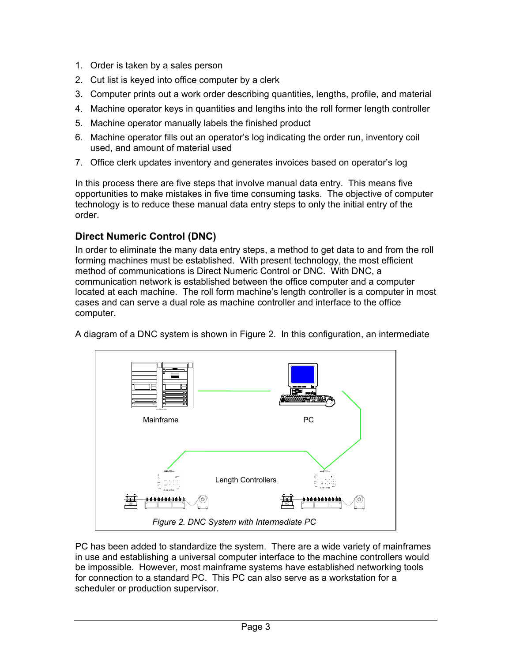- 1. Order is taken by a sales person
- 2. Cut list is keyed into office computer by a clerk
- 3. Computer prints out a work order describing quantities, lengths, profile, and material
- 4. Machine operator keys in quantities and lengths into the roll former length controller
- 5. Machine operator manually labels the finished product
- 6. Machine operator fills out an operator's log indicating the order run, inventory coil used, and amount of material used
- 7. Office clerk updates inventory and generates invoices based on operator's log

In this process there are five steps that involve manual data entry. This means five opportunities to make mistakes in five time consuming tasks. The objective of computer technology is to reduce these manual data entry steps to only the initial entry of the order.

#### **Direct Numeric Control (DNC)**

In order to eliminate the many data entry steps, a method to get data to and from the roll forming machines must be established. With present technology, the most efficient method of communications is Direct Numeric Control or DNC. With DNC, a communication network is established between the office computer and a computer located at each machine. The roll form machine's length controller is a computer in most cases and can serve a dual role as machine controller and interface to the office computer.

A diagram of a DNC system is shown in Figure 2. In this configuration, an intermediate



PC has been added to standardize the system. There are a wide variety of mainframes in use and establishing a universal computer interface to the machine controllers would be impossible. However, most mainframe systems have established networking tools for connection to a standard PC. This PC can also serve as a workstation for a scheduler or production supervisor.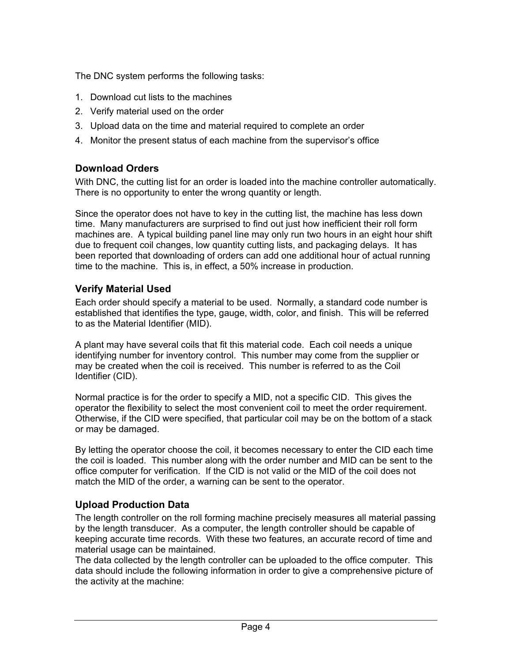The DNC system performs the following tasks:

- 1. Download cut lists to the machines
- 2. Verify material used on the order
- 3. Upload data on the time and material required to complete an order
- 4. Monitor the present status of each machine from the supervisor's office

#### **Download Orders**

With DNC, the cutting list for an order is loaded into the machine controller automatically. There is no opportunity to enter the wrong quantity or length.

Since the operator does not have to key in the cutting list, the machine has less down time. Many manufacturers are surprised to find out just how inefficient their roll form machines are. A typical building panel line may only run two hours in an eight hour shift due to frequent coil changes, low quantity cutting lists, and packaging delays. It has been reported that downloading of orders can add one additional hour of actual running time to the machine. This is, in effect, a 50% increase in production.

#### **Verify Material Used**

Each order should specify a material to be used. Normally, a standard code number is established that identifies the type, gauge, width, color, and finish. This will be referred to as the Material Identifier (MID).

A plant may have several coils that fit this material code. Each coil needs a unique identifying number for inventory control. This number may come from the supplier or may be created when the coil is received. This number is referred to as the Coil Identifier (CID).

Normal practice is for the order to specify a MID, not a specific CID. This gives the operator the flexibility to select the most convenient coil to meet the order requirement. Otherwise, if the CID were specified, that particular coil may be on the bottom of a stack or may be damaged.

By letting the operator choose the coil, it becomes necessary to enter the CID each time the coil is loaded. This number along with the order number and MID can be sent to the office computer for verification. If the CID is not valid or the MID of the coil does not match the MID of the order, a warning can be sent to the operator.

#### **Upload Production Data**

The length controller on the roll forming machine precisely measures all material passing by the length transducer. As a computer, the length controller should be capable of keeping accurate time records. With these two features, an accurate record of time and material usage can be maintained.

The data collected by the length controller can be uploaded to the office computer. This data should include the following information in order to give a comprehensive picture of the activity at the machine: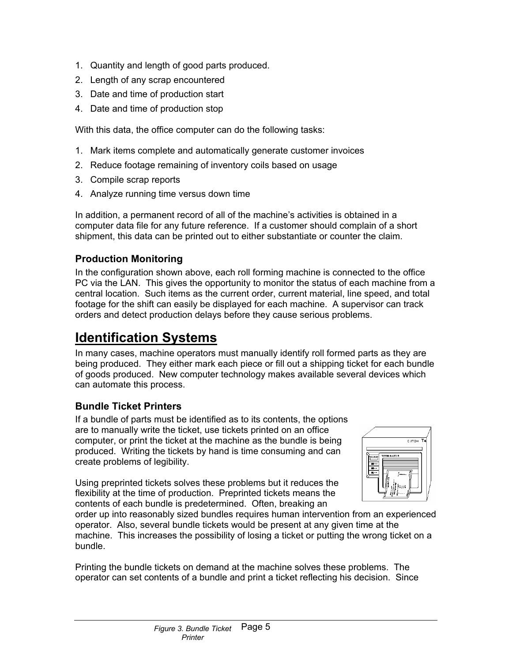- 1. Quantity and length of good parts produced.
- 2. Length of any scrap encountered
- 3. Date and time of production start
- 4. Date and time of production stop

With this data, the office computer can do the following tasks:

- 1. Mark items complete and automatically generate customer invoices
- 2. Reduce footage remaining of inventory coils based on usage
- 3. Compile scrap reports
- 4. Analyze running time versus down time

In addition, a permanent record of all of the machine's activities is obtained in a computer data file for any future reference. If a customer should complain of a short shipment, this data can be printed out to either substantiate or counter the claim.

#### **Production Monitoring**

In the configuration shown above, each roll forming machine is connected to the office PC via the LAN. This gives the opportunity to monitor the status of each machine from a central location. Such items as the current order, current material, line speed, and total footage for the shift can easily be displayed for each machine. A supervisor can track orders and detect production delays before they cause serious problems.

### **Identification Systems**

In many cases, machine operators must manually identify roll formed parts as they are being produced. They either mark each piece or fill out a shipping ticket for each bundle of goods produced. New computer technology makes available several devices which can automate this process.

#### **Bundle Ticket Printers**

If a bundle of parts must be identified as to its contents, the options are to manually write the ticket, use tickets printed on an office computer, or print the ticket at the machine as the bundle is being produced. Writing the tickets by hand is time consuming and can create problems of legibility.

Using preprinted tickets solves these problems but it reduces the flexibility at the time of production. Preprinted tickets means the contents of each bundle is predetermined. Often, breaking an



order up into reasonably sized bundles requires human intervention from an experienced operator. Also, several bundle tickets would be present at any given time at the machine. This increases the possibility of losing a ticket or putting the wrong ticket on a bundle.

Printing the bundle tickets on demand at the machine solves these problems. The operator can set contents of a bundle and print a ticket reflecting his decision. Since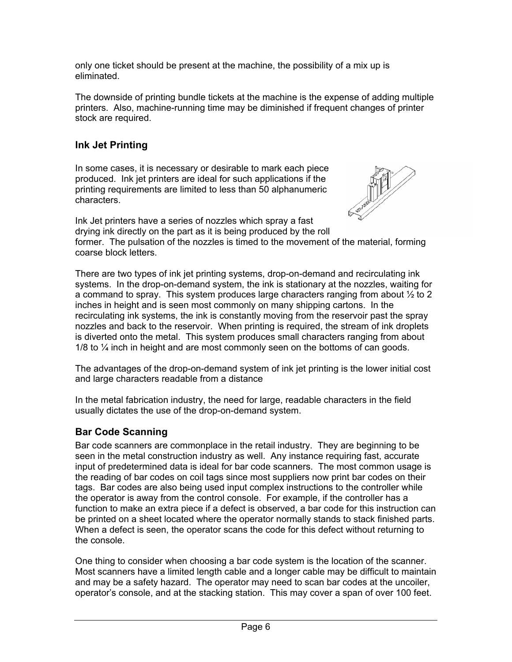only one ticket should be present at the machine, the possibility of a mix up is eliminated.

The downside of printing bundle tickets at the machine is the expense of adding multiple printers. Also, machine-running time may be diminished if frequent changes of printer stock are required.

#### **Ink Jet Printing**

In some cases, it is necessary or desirable to mark each piece produced. Ink jet printers are ideal for such applications if the printing requirements are limited to less than 50 alphanumeric characters.



Ink Jet printers have a series of nozzles which spray a fast drying ink directly on the part as it is being produced by the roll former. The pulsation of the nozzles is timed to the movement of the material, forming coarse block letters.

There are two types of ink jet printing systems, drop-on-demand and recirculating ink systems. In the drop-on-demand system, the ink is stationary at the nozzles, waiting for a command to spray. This system produces large characters ranging from about  $\frac{1}{2}$  to 2 inches in height and is seen most commonly on many shipping cartons. In the recirculating ink systems, the ink is constantly moving from the reservoir past the spray nozzles and back to the reservoir. When printing is required, the stream of ink droplets is diverted onto the metal. This system produces small characters ranging from about 1/8 to  $\frac{1}{2}$  inch in height and are most commonly seen on the bottoms of can goods.

The advantages of the drop-on-demand system of ink jet printing is the lower initial cost and large characters readable from a distance

In the metal fabrication industry, the need for large, readable characters in the field usually dictates the use of the drop-on-demand system.

#### **Bar Code Scanning**

Bar code scanners are commonplace in the retail industry. They are beginning to be seen in the metal construction industry as well. Any instance requiring fast, accurate input of predetermined data is ideal for bar code scanners. The most common usage is the reading of bar codes on coil tags since most suppliers now print bar codes on their tags. Bar codes are also being used input complex instructions to the controller while the operator is away from the control console. For example, if the controller has a function to make an extra piece if a defect is observed, a bar code for this instruction can be printed on a sheet located where the operator normally stands to stack finished parts. When a defect is seen, the operator scans the code for this defect without returning to the console.

One thing to consider when choosing a bar code system is the location of the scanner. Most scanners have a limited length cable and a longer cable may be difficult to maintain and may be a safety hazard. The operator may need to scan bar codes at the uncoiler, operator's console, and at the stacking station. This may cover a span of over 100 feet.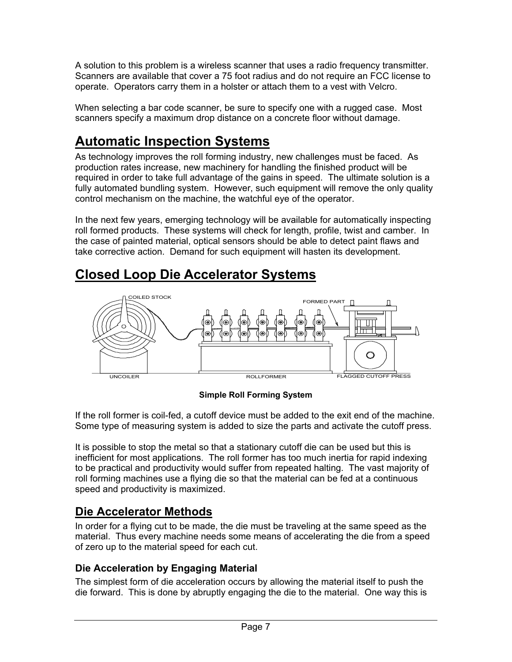A solution to this problem is a wireless scanner that uses a radio frequency transmitter. Scanners are available that cover a 75 foot radius and do not require an FCC license to operate. Operators carry them in a holster or attach them to a vest with Velcro.

When selecting a bar code scanner, be sure to specify one with a rugged case. Most scanners specify a maximum drop distance on a concrete floor without damage.

# **Automatic Inspection Systems**

As technology improves the roll forming industry, new challenges must be faced. As production rates increase, new machinery for handling the finished product will be required in order to take full advantage of the gains in speed. The ultimate solution is a fully automated bundling system. However, such equipment will remove the only quality control mechanism on the machine, the watchful eye of the operator.

In the next few years, emerging technology will be available for automatically inspecting roll formed products. These systems will check for length, profile, twist and camber. In the case of painted material, optical sensors should be able to detect paint flaws and take corrective action. Demand for such equipment will hasten its development.

# **Closed Loop Die Accelerator Systems**



**Simple Roll Forming System** 

If the roll former is coil-fed, a cutoff device must be added to the exit end of the machine. Some type of measuring system is added to size the parts and activate the cutoff press.

It is possible to stop the metal so that a stationary cutoff die can be used but this is inefficient for most applications. The roll former has too much inertia for rapid indexing to be practical and productivity would suffer from repeated halting. The vast majority of roll forming machines use a flying die so that the material can be fed at a continuous speed and productivity is maximized.

### **Die Accelerator Methods**

In order for a flying cut to be made, the die must be traveling at the same speed as the material. Thus every machine needs some means of accelerating the die from a speed of zero up to the material speed for each cut.

#### **Die Acceleration by Engaging Material**

The simplest form of die acceleration occurs by allowing the material itself to push the die forward. This is done by abruptly engaging the die to the material. One way this is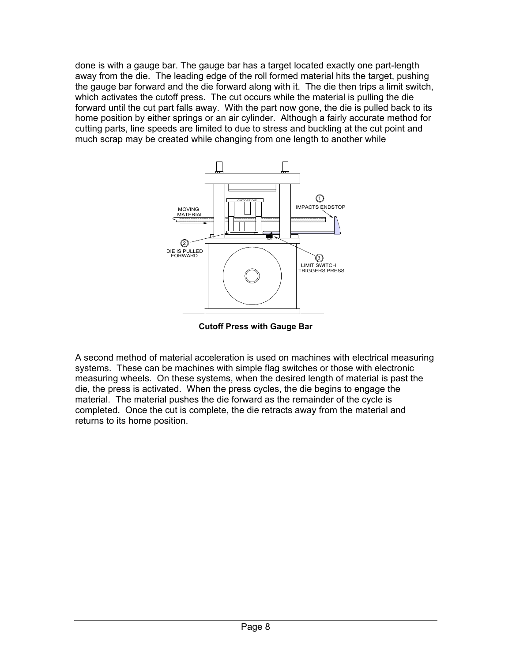done is with a gauge bar. The gauge bar has a target located exactly one part-length away from the die. The leading edge of the roll formed material hits the target, pushing the gauge bar forward and the die forward along with it. The die then trips a limit switch, which activates the cutoff press. The cut occurs while the material is pulling the die forward until the cut part falls away. With the part now gone, the die is pulled back to its home position by either springs or an air cylinder. Although a fairly accurate method for cutting parts, line speeds are limited to due to stress and buckling at the cut point and much scrap may be created while changing from one length to another while



**Cutoff Press with Gauge Bar** 

A second method of material acceleration is used on machines with electrical measuring systems. These can be machines with simple flag switches or those with electronic measuring wheels. On these systems, when the desired length of material is past the die, the press is activated. When the press cycles, the die begins to engage the material. The material pushes the die forward as the remainder of the cycle is completed. Once the cut is complete, the die retracts away from the material and returns to its home position.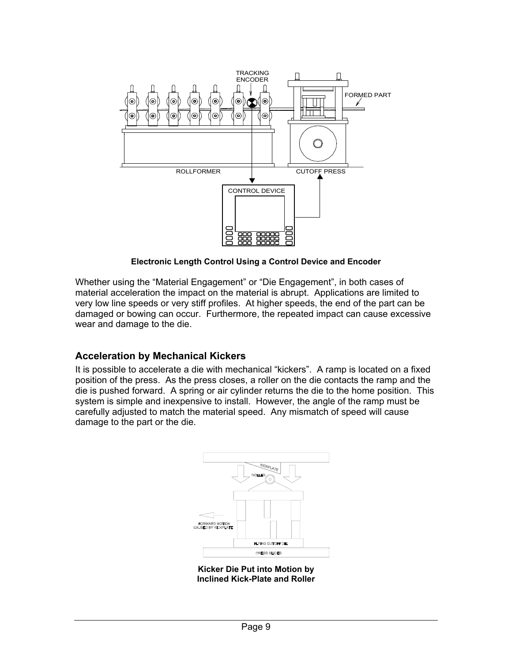

**Electronic Length Control Using a Control Device and Encoder** 

Whether using the "Material Engagement" or "Die Engagement", in both cases of material acceleration the impact on the material is abrupt. Applications are limited to very low line speeds or very stiff profiles. At higher speeds, the end of the part can be damaged or bowing can occur. Furthermore, the repeated impact can cause excessive wear and damage to the die.

#### **Acceleration by Mechanical Kickers**

It is possible to accelerate a die with mechanical "kickers". A ramp is located on a fixed position of the press. As the press closes, a roller on the die contacts the ramp and the die is pushed forward. A spring or air cylinder returns the die to the home position. This system is simple and inexpensive to install. However, the angle of the ramp must be carefully adjusted to match the material speed. Any mismatch of speed will cause damage to the part or the die.



**Kicker Die Put into Motion by Inclined Kick-Plate and Roller**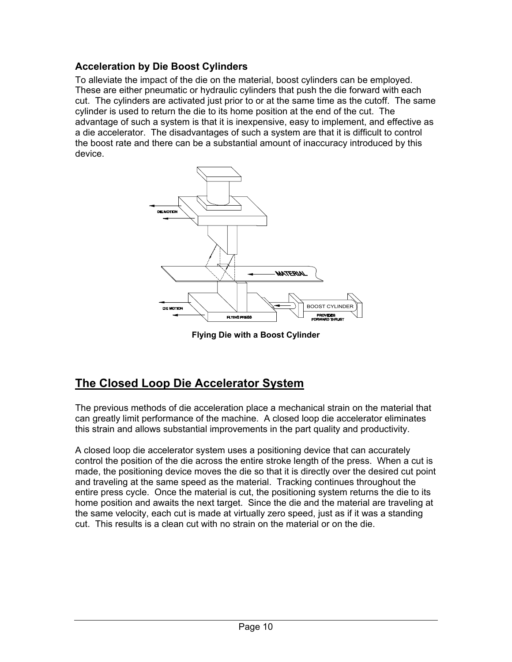#### **Acceleration by Die Boost Cylinders**

To alleviate the impact of the die on the material, boost cylinders can be employed. These are either pneumatic or hydraulic cylinders that push the die forward with each cut. The cylinders are activated just prior to or at the same time as the cutoff. The same cylinder is used to return the die to its home position at the end of the cut. The advantage of such a system is that it is inexpensive, easy to implement, and effective as a die accelerator. The disadvantages of such a system are that it is difficult to control the boost rate and there can be a substantial amount of inaccuracy introduced by this device.



**Flying Die with a Boost Cylinder** 

### **The Closed Loop Die Accelerator System**

The previous methods of die acceleration place a mechanical strain on the material that can greatly limit performance of the machine. A closed loop die accelerator eliminates this strain and allows substantial improvements in the part quality and productivity.

A closed loop die accelerator system uses a positioning device that can accurately control the position of the die across the entire stroke length of the press. When a cut is made, the positioning device moves the die so that it is directly over the desired cut point and traveling at the same speed as the material. Tracking continues throughout the entire press cycle. Once the material is cut, the positioning system returns the die to its home position and awaits the next target. Since the die and the material are traveling at the same velocity, each cut is made at virtually zero speed, just as if it was a standing cut. This results is a clean cut with no strain on the material or on the die.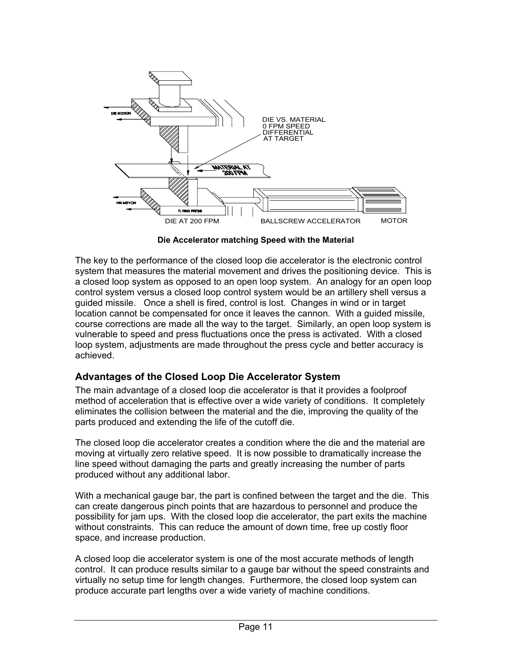

**Die Accelerator matching Speed with the Material** 

The key to the performance of the closed loop die accelerator is the electronic control system that measures the material movement and drives the positioning device. This is a closed loop system as opposed to an open loop system. An analogy for an open loop control system versus a closed loop control system would be an artillery shell versus a guided missile. Once a shell is fired, control is lost. Changes in wind or in target location cannot be compensated for once it leaves the cannon. With a guided missile, course corrections are made all the way to the target. Similarly, an open loop system is vulnerable to speed and press fluctuations once the press is activated. With a closed loop system, adjustments are made throughout the press cycle and better accuracy is achieved.

#### **Advantages of the Closed Loop Die Accelerator System**

The main advantage of a closed loop die accelerator is that it provides a foolproof method of acceleration that is effective over a wide variety of conditions. It completely eliminates the collision between the material and the die, improving the quality of the parts produced and extending the life of the cutoff die.

The closed loop die accelerator creates a condition where the die and the material are moving at virtually zero relative speed. It is now possible to dramatically increase the line speed without damaging the parts and greatly increasing the number of parts produced without any additional labor.

With a mechanical gauge bar, the part is confined between the target and the die. This can create dangerous pinch points that are hazardous to personnel and produce the possibility for jam ups. With the closed loop die accelerator, the part exits the machine without constraints. This can reduce the amount of down time, free up costly floor space, and increase production.

A closed loop die accelerator system is one of the most accurate methods of length control. It can produce results similar to a gauge bar without the speed constraints and virtually no setup time for length changes. Furthermore, the closed loop system can produce accurate part lengths over a wide variety of machine conditions.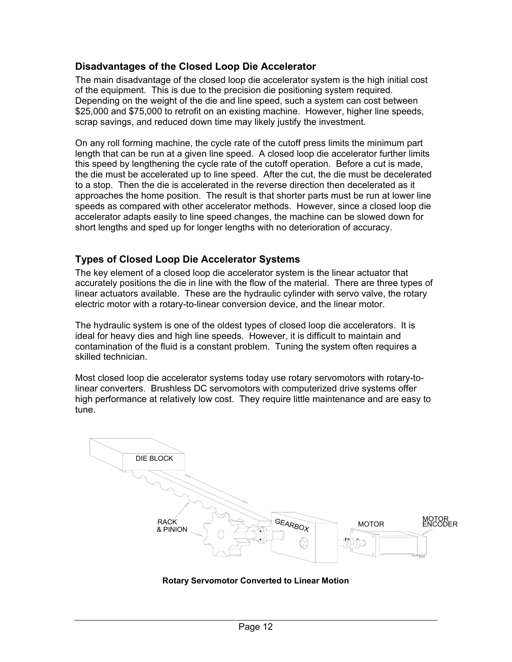#### **Disadvantages of the Closed Loop Die Accelerator**

The main disadvantage of the closed loop die accelerator system is the high initial cost of the equipment. This is due to the precision die positioning system required. Depending on the weight of the die and line speed, such a system can cost between \$25,000 and \$75,000 to retrofit on an existing machine. However, higher line speeds, scrap savings, and reduced down time may likely justify the investment.

On any roll forming machine, the cycle rate of the cutoff press limits the minimum part length that can be run at a given line speed. A closed loop die accelerator further limits this speed by lengthening the cycle rate of the cutoff operation. Before a cut is made, the die must be accelerated up to line speed. After the cut, the die must be decelerated to a stop. Then the die is accelerated in the reverse direction then decelerated as it approaches the home position. The result is that shorter parts must be run at lower line speeds as compared with other accelerator methods. However, since a closed loop die accelerator adapts easily to line speed changes, the machine can be slowed down for short lengths and sped up for longer lengths with no deterioration of accuracy.

#### **Types of Closed Loop Die Accelerator Systems**

The key element of a closed loop die accelerator system is the linear actuator that accurately positions the die in line with the flow of the material. There are three types of linear actuators available. These are the hydraulic cylinder with servo valve, the rotary electric motor with a rotary-to-linear conversion device, and the linear motor.

The hydraulic system is one of the oldest types of closed loop die accelerators. It is ideal for heavy dies and high line speeds. However, it is difficult to maintain and contamination of the fluid is a constant problem. Tuning the system often requires a skilled technician.

Most closed loop die accelerator systems today use rotary servomotors with rotary-tolinear converters. Brushless DC servomotors with computerized drive systems offer high performance at relatively low cost. They require little maintenance and are easy to tune.



**Rotary Servomotor Converted to Linear Motion**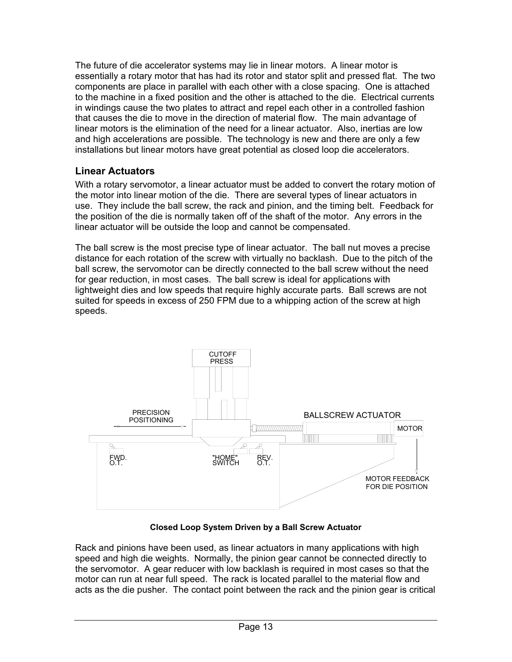The future of die accelerator systems may lie in linear motors. A linear motor is essentially a rotary motor that has had its rotor and stator split and pressed flat. The two components are place in parallel with each other with a close spacing. One is attached to the machine in a fixed position and the other is attached to the die. Electrical currents in windings cause the two plates to attract and repel each other in a controlled fashion that causes the die to move in the direction of material flow. The main advantage of linear motors is the elimination of the need for a linear actuator. Also, inertias are low and high accelerations are possible. The technology is new and there are only a few installations but linear motors have great potential as closed loop die accelerators.

#### **Linear Actuators**

With a rotary servomotor, a linear actuator must be added to convert the rotary motion of the motor into linear motion of the die. There are several types of linear actuators in use. They include the ball screw, the rack and pinion, and the timing belt. Feedback for the position of the die is normally taken off of the shaft of the motor. Any errors in the linear actuator will be outside the loop and cannot be compensated.

The ball screw is the most precise type of linear actuator. The ball nut moves a precise distance for each rotation of the screw with virtually no backlash. Due to the pitch of the ball screw, the servomotor can be directly connected to the ball screw without the need for gear reduction, in most cases. The ball screw is ideal for applications with lightweight dies and low speeds that require highly accurate parts. Ball screws are not suited for speeds in excess of 250 FPM due to a whipping action of the screw at high speeds.



**Closed Loop System Driven by a Ball Screw Actuator** 

Rack and pinions have been used, as linear actuators in many applications with high speed and high die weights. Normally, the pinion gear cannot be connected directly to the servomotor. A gear reducer with low backlash is required in most cases so that the motor can run at near full speed. The rack is located parallel to the material flow and acts as the die pusher. The contact point between the rack and the pinion gear is critical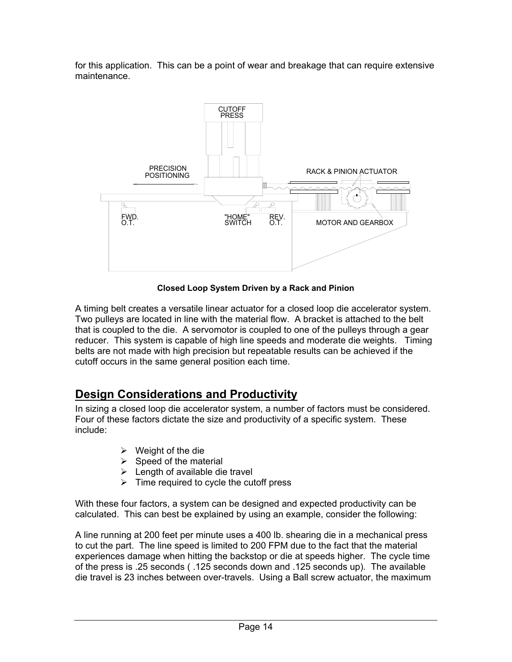for this application. This can be a point of wear and breakage that can require extensive maintenance.



**Closed Loop System Driven by a Rack and Pinion** 

A timing belt creates a versatile linear actuator for a closed loop die accelerator system. Two pulleys are located in line with the material flow. A bracket is attached to the belt that is coupled to the die. A servomotor is coupled to one of the pulleys through a gear reducer. This system is capable of high line speeds and moderate die weights. Timing belts are not made with high precision but repeatable results can be achieved if the cutoff occurs in the same general position each time.

### **Design Considerations and Productivity**

In sizing a closed loop die accelerator system, a number of factors must be considered. Four of these factors dictate the size and productivity of a specific system. These include:

- $\triangleright$  Weight of the die
- $\triangleright$  Speed of the material
- $\triangleright$  Length of available die travel
- $\triangleright$  Time required to cycle the cutoff press

With these four factors, a system can be designed and expected productivity can be calculated. This can best be explained by using an example, consider the following:

A line running at 200 feet per minute uses a 400 lb. shearing die in a mechanical press to cut the part. The line speed is limited to 200 FPM due to the fact that the material experiences damage when hitting the backstop or die at speeds higher. The cycle time of the press is .25 seconds ( .125 seconds down and .125 seconds up). The available die travel is 23 inches between over-travels. Using a Ball screw actuator, the maximum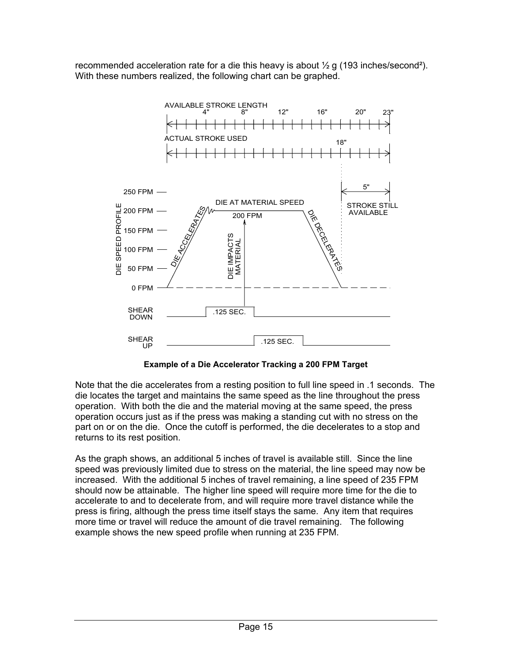recommended acceleration rate for a die this heavy is about ½ g (193 inches/second²). With these numbers realized, the following chart can be graphed.



**Example of a Die Accelerator Tracking a 200 FPM Target** 

Note that the die accelerates from a resting position to full line speed in .1 seconds. The die locates the target and maintains the same speed as the line throughout the press operation. With both the die and the material moving at the same speed, the press operation occurs just as if the press was making a standing cut with no stress on the part on or on the die. Once the cutoff is performed, the die decelerates to a stop and returns to its rest position.

As the graph shows, an additional 5 inches of travel is available still. Since the line speed was previously limited due to stress on the material, the line speed may now be increased. With the additional 5 inches of travel remaining, a line speed of 235 FPM should now be attainable. The higher line speed will require more time for the die to accelerate to and to decelerate from, and will require more travel distance while the press is firing, although the press time itself stays the same. Any item that requires more time or travel will reduce the amount of die travel remaining. The following example shows the new speed profile when running at 235 FPM.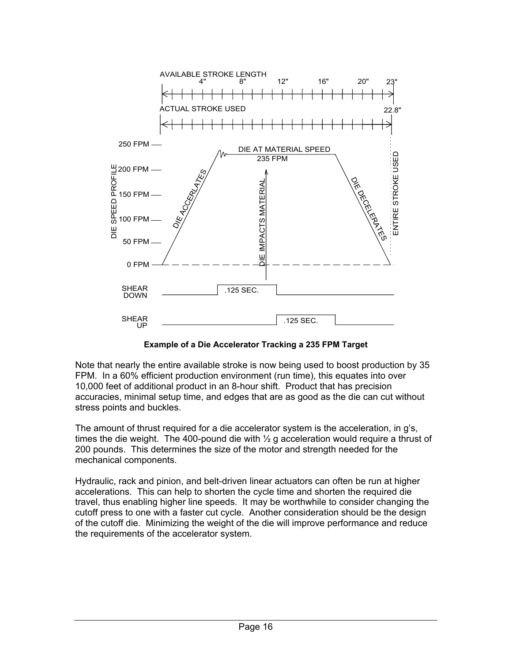

 **Example of a Die Accelerator Tracking a 235 FPM Target** 

Note that nearly the entire available stroke is now being used to boost production by 35 FPM. In a 60% efficient production environment (run time), this equates into over 10,000 feet of additional product in an 8-hour shift. Product that has precision accuracies, minimal setup time, and edges that are as good as the die can cut without stress points and buckles.

The amount of thrust required for a die accelerator system is the acceleration, in g's, times the die weight. The 400-pound die with  $\frac{1}{2}$  g acceleration would require a thrust of 200 pounds. This determines the size of the motor and strength needed for the mechanical components.

Hydraulic, rack and pinion, and belt-driven linear actuators can often be run at higher accelerations. This can help to shorten the cycle time and shorten the required die travel, thus enabling higher line speeds. It may be worthwhile to consider changing the cutoff press to one with a faster cut cycle. Another consideration should be the design of the cutoff die. Minimizing the weight of the die will improve performance and reduce the requirements of the accelerator system.